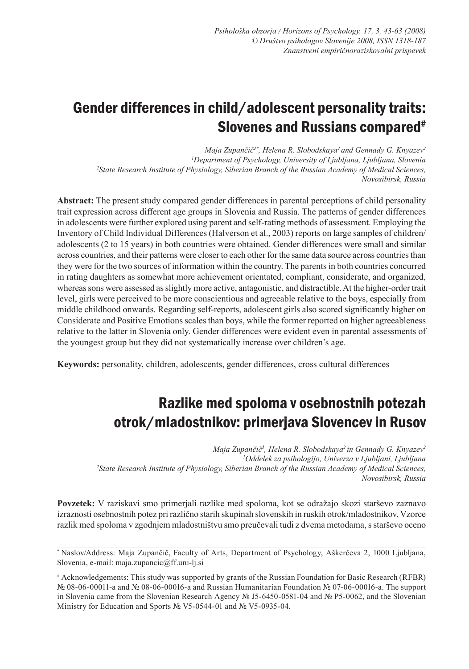# Gender differences in child/adolescent personality traits: Slovenes and Russians compared<sup>#</sup>

*Maja Zupančič1\*, Helena R. Slobodskaya<sup>2</sup>and Gennady G. Knyazev<sup>2</sup> 1 Department of Psychology, University of Ljubljana, Ljubljana, Slovenia 2 State Research Institute of Physiology, Siberian Branch of the Russian Academy of Medical Sciences, Novosibirsk, Russia*

**Abstract:** The present study compared gender differences in parental perceptions of child personality trait expression across different age groups in Slovenia and Russia. The patterns of gender differences in adolescents were further explored using parent and self-rating methods of assessment. Employing the Inventory of Child Individual Differences (Halverson et al., 2003) reports on large samples of children/ adolescents (2 to 15 years) in both countries were obtained. Gender differences were small and similar across countries, and their patterns were closer to each other for the same data source across countries than they were for the two sources of information within the country. The parents in both countries concurred in rating daughters as somewhat more achievement orientated, compliant, considerate, and organized, whereas sons were assessed as slightly more active, antagonistic, and distractible. At the higher-order trait level, girls were perceived to be more conscientious and agreeable relative to the boys, especially from middle childhood onwards. Regarding self-reports, adolescent girls also scored significantly higher on Considerate and Positive Emotions scales than boys, while the former reported on higher agreeableness relative to the latter in Slovenia only. Gender differences were evident even in parental assessments of the youngest group but they did not systematically increase over children's age.

**Keywords:** personality, children, adolescents, gender differences, cross cultural differences

# Razlike med spoloma v osebnostnih potezah otrok/mladostnikov: primerjava Slovencev in Rusov

*Maja Zupančič<sup>1</sup> , Helena R. Slobodskaya<sup>2</sup>in Gennady G. Knyazev<sup>2</sup> 1 Oddelek za psihologijo, Univerza v Ljubljani, Ljubljana 2 State Research Institute of Physiology, Siberian Branch of the Russian Academy of Medical Sciences, Novosibirsk, Russia*

**Povzetek:** V raziskavi smo primerjali razlike med spoloma, kot se odražajo skozi starševo zaznavo izraznosti osebnostnih potez pri različno starih skupinah slovenskih in ruskih otrok/mladostnikov. Vzorce razlik med spoloma v zgodnjem mladostništvu smo preučevali tudi z dvema metodama, s starševo oceno

\* Naslov/Address: Maja Zupančič, Faculty of Arts, Department of Psychology, Aškerčeva 2, 1000 Ljubljana, Slovenia, e-mail: maja.zupancic@ff.uni-lj.si

# Acknowledgements: This study was supported by grants of the Russian Foundation for Basic Research (RFBR) № 08-06-00011-а and № 08-06-00016-а and Russian Humanitarian Foundation № 07-06-00016-а. The support in Slovenia came from the Slovenian Research Agency № J5-6450-0581-04 and № P5-0062, and the Slovenian Ministry for Education and Sports № V5-0544-01 and № V5-0935-04.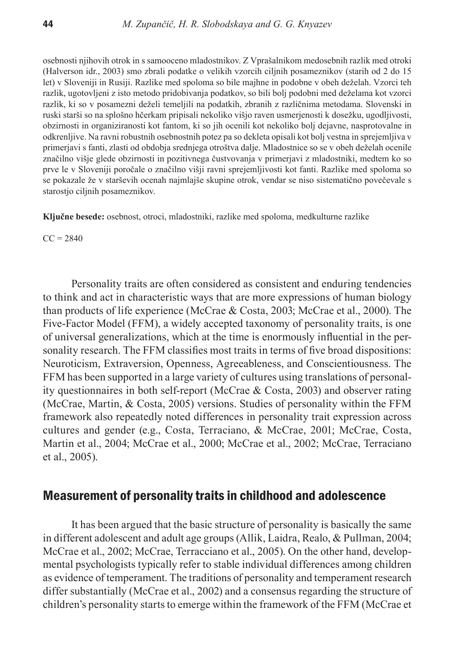osebnosti njihovih otrok in s samooceno mladostnikov. Z Vprašalnikom medosebnih razlik med otroki (Halverson idr., 2003) smo zbrali podatke o velikih vzorcih ciljnih posameznikov (starih od 2 do 15 let) v Sloveniji in Rusiji. Razlike med spoloma so bile majhne in podobne v obeh deželah. Vzorci teh razlik, ugotovljeni z isto metodo pridobivanja podatkov, so bili bolj podobni med deželama kot vzorci razlik, ki so v posamezni deželi temeljili na podatkih, zbranih z različnima metodama. Slovenski in ruski starši so na splošno hčerkam pripisali nekoliko višjo raven usmerjenosti k dosežku, ugodljivosti, obzirnosti in organiziranosti kot fantom, ki so jih ocenili kot nekoliko bolj dejavne, nasprotovalne in odkrenljive. Na ravni robustnih osebnostnih potez pa so dekleta opisali kot bolj vestna in sprejemljiva v primerjavi s fanti, zlasti od obdobja srednjega otroštva dalje. Mladostnice so se v obeh deželah ocenile značilno višje glede obzirnosti in pozitivnega čustvovanja v primerjavi z mladostniki, medtem ko so prve le v Sloveniji poročale o značilno višji ravni sprejemljivosti kot fanti. Razlike med spoloma so se pokazale že v starševih ocenah najmlajše skupine otrok, vendar se niso sistematično povečevale s starostjo ciljnih posameznikov.

**Ključne besede:** osebnost, otroci, mladostniki, razlike med spoloma, medkulturne razlike

 $CC = 2840$ 

Personality traits are often considered as consistent and enduring tendencies to think and act in characteristic ways that are more expressions of human biology than products of life experience (McCrae & Costa, 2003; McCrae et al., 2000). The Five-Factor Model (FFM), a widely accepted taxonomy of personality traits, is one of universal generalizations, which at the time is enormously influential in the personality research. The FFM classifies most traits in terms of five broad dispositions: Neuroticism, Extraversion, Openness, Agreeableness, and Conscientiousness. The FFM has been supported in a large variety of cultures using translations of personality questionnaires in both self-report (McCrae & Costa, 2003) and observer rating (McCrae, Martin, & Costa, 2005) versions. Studies of personality within the FFM framework also repeatedly noted differences in personality trait expression across cultures and gender (e.g., Costa, Terraciano, & McCrae, 2001; McCrae, Costa, Martin et al., 2004; McCrae et al., 2000; McCrae et al., 2002; McCrae, Terraciano et al., 2005).

# Measurement of personality traits in childhood and adolescence

It has been argued that the basic structure of personality is basically the same in different adolescent and adult age groups (Allik, Laidra, Realo, & Pullman, 2004; McCrae et al., 2002; McCrae, Terracciano et al., 2005). On the other hand, developmental psychologists typically refer to stable individual differences among children as evidence of temperament. The traditions of personality and temperament research differ substantially (McCrae et al., 2002) and a consensus regarding the structure of children's personality starts to emerge within the framework of the FFM (McCrae et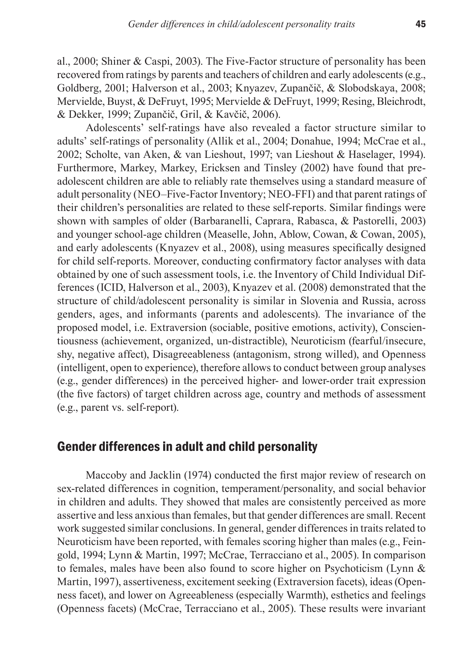al., 2000; Shiner & Caspi, 2003). The Five-Factor structure of personality has been recovered from ratings by parents and teachers of children and early adolescents (e.g., Goldberg, 2001; Halverson et al., 2003; Knyazev, Zupančič, & Slobodskaya, 2008; Mervielde, Buyst, & DeFruyt, 1995; Mervielde & DeFruyt, 1999; Resing, Bleichrodt, & Dekker, 1999; Zupančič, Gril, & Kavčič, 2006).

Adolescents' self-ratings have also revealed a factor structure similar to adults' self-ratings of personality (Allik et al., 2004; Donahue, 1994; McCrae et al., 2002; Scholte, van Aken, & van Lieshout, 1997; van Lieshout & Haselager, 1994). Furthermore, Markey, Markey, Ericksen and Tinsley (2002) have found that preadolescent children are able to reliably rate themselves using a standard measure of adult personality (NEO–Five-Factor Inventory; NEO-FFI) and that parent ratings of their children's personalities are related to these self-reports. Similar findings were shown with samples of older (Barbaranelli, Caprara, Rabasca, & Pastorelli, 2003) and younger school-age children (Measelle, John, Ablow, Cowan, & Cowan, 2005), and early adolescents (Knyazev et al., 2008), using measures specifically designed for child self-reports. Moreover, conducting confirmatory factor analyses with data obtained by one of such assessment tools, i.e. the Inventory of Child Individual Differences (ICID, Halverson et al., 2003), Knyazev et al. (2008) demonstrated that the structure of child/adolescent personality is similar in Slovenia and Russia, across genders, ages, and informants (parents and adolescents). The invariance of the proposed model, i.e. Extraversion (sociable, positive emotions, activity), Conscientiousness (achievement, organized, un-distractible), Neuroticism (fearful/insecure, shy, negative affect), Disagreeableness (antagonism, strong willed), and Openness (intelligent, open to experience), therefore allows to conduct between group analyses (e.g., gender differences) in the perceived higher- and lower-order trait expression (the five factors) of target children across age, country and methods of assessment (e.g., parent vs. self-report).

# Gender differences in adult and child personality

Maccoby and Jacklin (1974) conducted the first major review of research on sex-related differences in cognition, temperament/personality, and social behavior in children and adults. They showed that males are consistently perceived as more assertive and less anxious than females, but that gender differences are small. Recent work suggested similar conclusions. In general, gender differences in traits related to Neuroticism have been reported, with females scoring higher than males (e.g., Feingold, 1994; Lynn & Martin, 1997; McCrae, Terracciano et al., 2005). In comparison to females, males have been also found to score higher on Psychoticism (Lynn & Martin, 1997), assertiveness, excitement seeking (Extraversion facets), ideas (Openness facet), and lower on Agreeableness (especially Warmth), esthetics and feelings (Openness facets) (McCrae, Terracciano et al., 2005). These results were invariant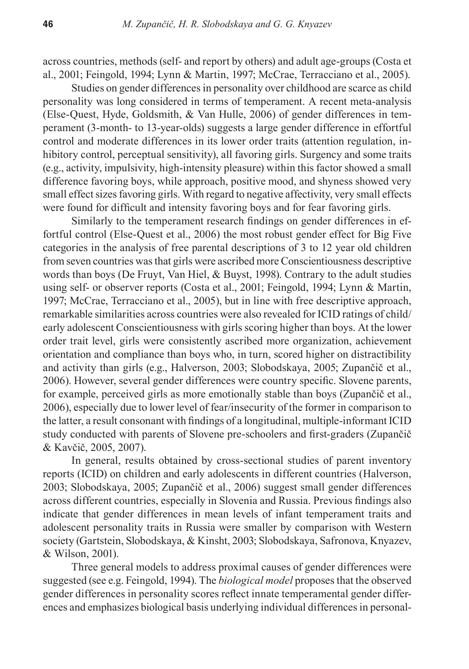across countries, methods (self- and report by others) and adult age-groups (Costa et al., 2001; Feingold, 1994; Lynn & Martin, 1997; McCrae, Terracciano et al., 2005).

Studies on gender differences in personality over childhood are scarce as child personality was long considered in terms of temperament. A recent meta-analysis (Else-Quest, Hyde, Goldsmith, & Van Hulle, 2006) of gender differences in temperament (3-month- to 13-year-olds) suggests a large gender difference in effortful control and moderate differences in its lower order traits (attention regulation, inhibitory control, perceptual sensitivity), all favoring girls. Surgency and some traits (e.g., activity, impulsivity, high-intensity pleasure) within this factor showed a small difference favoring boys, while approach, positive mood, and shyness showed very small effect sizes favoring girls. With regard to negative affectivity, very small effects were found for difficult and intensity favoring boys and for fear favoring girls.

Similarly to the temperament research findings on gender differences in effortful control (Else-Quest et al., 2006) the most robust gender effect for Big Five categories in the analysis of free parental descriptions of 3 to 12 year old children from seven countries was that girls were ascribed more Conscientiousness descriptive words than boys (De Fruyt, Van Hiel, & Buyst, 1998). Contrary to the adult studies using self- or observer reports (Costa et al., 2001; Feingold, 1994; Lynn & Martin, 1997; McCrae, Terracciano et al., 2005), but in line with free descriptive approach, remarkable similarities across countries were also revealed for ICID ratings of child/ early adolescent Conscientiousness with girls scoring higher than boys. At the lower order trait level, girls were consistently ascribed more organization, achievement orientation and compliance than boys who, in turn, scored higher on distractibility and activity than girls (e.g., Halverson, 2003; Slobodskaya, 2005; Zupančič et al., 2006). However, several gender differences were country specific. Slovene parents, for example, perceived girls as more emotionally stable than boys (Zupančič et al., 2006), especially due to lower level of fear/insecurity of the former in comparison to the latter, a result consonant with findings of a longitudinal, multiple-informant ICID study conducted with parents of Slovene pre-schoolers and first-graders (Zupančič & Kavčič, 2005, 2007).

In general, results obtained by cross-sectional studies of parent inventory reports (ICID) on children and early adolescents in different countries (Halverson, 2003; Slobodskaya, 2005; Zupančič et al., 2006) suggest small gender differences across different countries, especially in Slovenia and Russia. Previous findings also indicate that gender differences in mean levels of infant temperament traits and adolescent personality traits in Russia were smaller by comparison with Western society (Gartstein, Slobodskaya, & Kinsht, 2003; Slobodskaya, Safronova, Knyazev, & Wilson, 2001).

Three general models to address proximal causes of gender differences were suggested (see e.g. Feingold, 1994). The *biological model* proposes that the observed gender differences in personality scores reflect innate temperamental gender differences and emphasizes biological basis underlying individual differences in personal-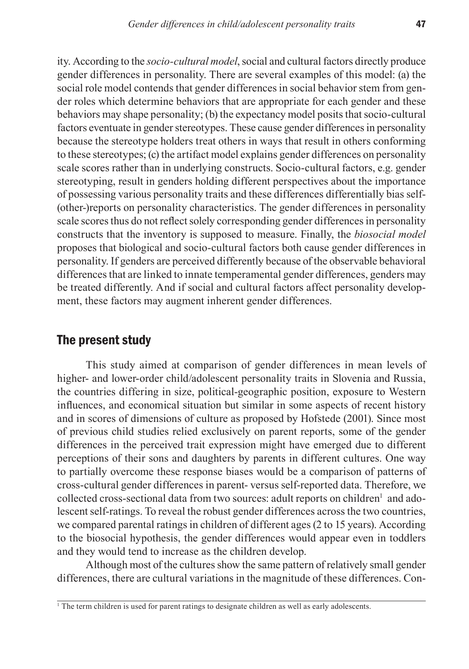ity. According to the *socio-cultural model*, social and cultural factors directly produce gender differences in personality. There are several examples of this model: (a) the social role model contends that gender differences in social behavior stem from gender roles which determine behaviors that are appropriate for each gender and these behaviors may shape personality; (b) the expectancy model posits that socio-cultural factors eventuate in gender stereotypes. These cause gender differences in personality because the stereotype holders treat others in ways that result in others conforming to these stereotypes; (c) the artifact model explains gender differences on personality scale scores rather than in underlying constructs. Socio-cultural factors, e.g. gender stereotyping, result in genders holding different perspectives about the importance of possessing various personality traits and these differences differentially bias self- (other-)reports on personality characteristics. The gender differences in personality scale scores thus do not reflect solely corresponding gender differences in personality constructs that the inventory is supposed to measure. Finally, the *biosocial model* proposes that biological and socio-cultural factors both cause gender differences in personality. If genders are perceived differently because of the observable behavioral differences that are linked to innate temperamental gender differences, genders may be treated differently. And if social and cultural factors affect personality development, these factors may augment inherent gender differences.

# The present study

This study aimed at comparison of gender differences in mean levels of higher- and lower-order child/adolescent personality traits in Slovenia and Russia, the countries differing in size, political-geographic position, exposure to Western influences, and economical situation but similar in some aspects of recent history and in scores of dimensions of culture as proposed by Hofstede (2001). Since most of previous child studies relied exclusively on parent reports, some of the gender differences in the perceived trait expression might have emerged due to different perceptions of their sons and daughters by parents in different cultures. One way to partially overcome these response biases would be a comparison of patterns of cross-cultural gender differences in parent- versus self-reported data. Therefore, we collected cross-sectional data from two sources: adult reports on children<sup>1</sup> and adolescent self-ratings. To reveal the robust gender differences across the two countries, we compared parental ratings in children of different ages (2 to 15 years). According to the biosocial hypothesis, the gender differences would appear even in toddlers and they would tend to increase as the children develop.

Although most of the cultures show the same pattern of relatively small gender differences, there are cultural variations in the magnitude of these differences. Con-

<sup>1</sup> The term children is used for parent ratings to designate children as well as early adolescents.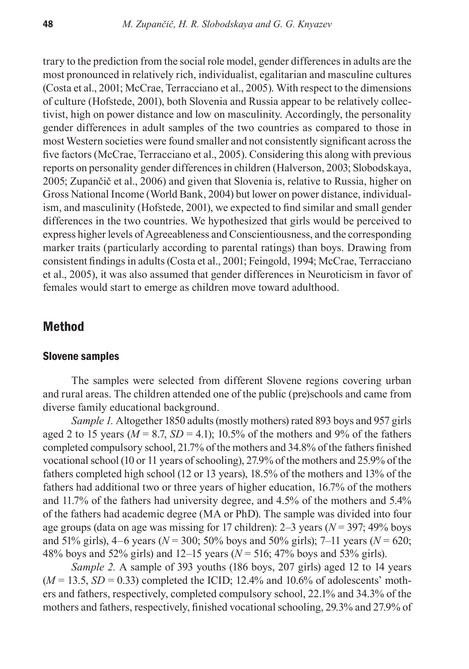trary to the prediction from the social role model, gender differences in adults are the most pronounced in relatively rich, individualist, egalitarian and masculine cultures (Costa et al., 2001; McCrae, Terracciano et al., 2005). With respect to the dimensions of culture (Hofstede, 2001), both Slovenia and Russia appear to be relatively collectivist, high on power distance and low on masculinity. Accordingly, the personality gender differences in adult samples of the two countries as compared to those in most Western societies were found smaller and not consistently significant across the five factors (McCrae, Terracciano et al., 2005). Considering this along with previous reports on personality gender differences in children (Halverson, 2003; Slobodskaya, 2005; Zupančič et al., 2006) and given that Slovenia is, relative to Russia, higher on Gross National Income (World Bank, 2004) but lower on power distance, individualism, and masculinity (Hofstede, 2001), we expected to find similar and small gender differences in the two countries. We hypothesized that girls would be perceived to express higher levels of Agreeableness and Conscientiousness, and the corresponding marker traits (particularly according to parental ratings) than boys. Drawing from consistent findings in adults (Costa et al., 2001; Feingold, 1994; McCrae, Terracciano et al., 2005), it was also assumed that gender differences in Neuroticism in favor of females would start to emerge as children move toward adulthood.

# Method

#### Slovene samples

The samples were selected from different Slovene regions covering urban and rural areas. The children attended one of the public (pre)schools and came from diverse family educational background.

*Sample 1.* Altogether 1850 adults (mostly mothers) rated 893 boys and 957 girls aged 2 to 15 years ( $M = 8.7$ ,  $SD = 4.1$ ); 10.5% of the mothers and 9% of the fathers completed compulsory school, 21.7% of the mothers and 34.8% of the fathers finished vocational school (10 or 11 years of schooling), 27.9% of the mothers and 25.9% of the fathers completed high school (12 or 13 years), 18.5% of the mothers and 13% of the fathers had additional two or three years of higher education, 16.7% of the mothers and 11.7% of the fathers had university degree, and 4.5% of the mothers and 5.4% of the fathers had academic degree (MA or PhD). The sample was divided into four age groups (data on age was missing for 17 children): 2–3 years (*N* = 397; 49% boys and 51% girls), 4–6 years (*N* = 300; 50% boys and 50% girls); 7–11 years (*N* = 620; 48% boys and 52% girls) and 12–15 years (*N* = 516; 47% boys and 53% girls).

*Sample 2.* A sample of 393 youths (186 boys, 207 girls) aged 12 to 14 years  $(M = 13.5, SD = 0.33)$  completed the ICID; 12.4% and 10.6% of adolescents' mothers and fathers, respectively, completed compulsory school, 22.1% and 34.3% of the mothers and fathers, respectively, finished vocational schooling, 29.3% and 27.9% of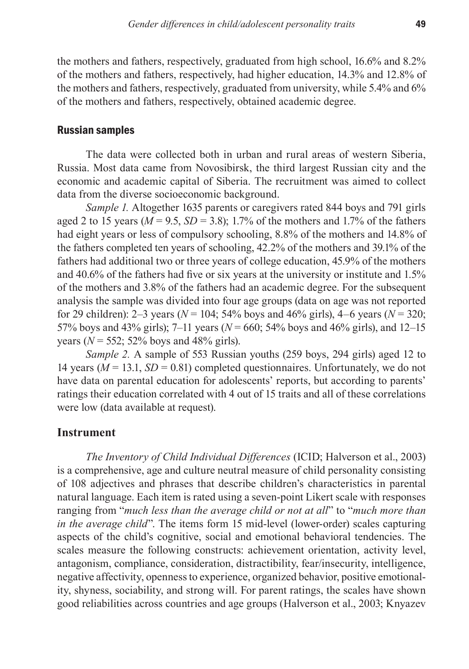the mothers and fathers, respectively, graduated from high school, 16.6% and 8.2% of the mothers and fathers, respectively, had higher education, 14.3% and 12.8% of the mothers and fathers, respectively, graduated from university, while 5.4% and 6% of the mothers and fathers, respectively, obtained academic degree.

#### Russian samples

The data were collected both in urban and rural areas of western Siberia, Russia. Most data came from Novosibirsk, the third largest Russian city and the economic and academic capital of Siberia. The recruitment was aimed to collect data from the diverse socioeconomic background.

*Sample 1.* Altogether 1635 parents or caregivers rated 844 boys and 791 girls aged 2 to 15 years ( $M = 9.5$ ,  $SD = 3.8$ ); 1.7% of the mothers and 1.7% of the fathers had eight years or less of compulsory schooling, 8.8% of the mothers and 14.8% of the fathers completed ten years of schooling, 42.2% of the mothers and 39.1% of the fathers had additional two or three years of college education, 45.9% of the mothers and 40.6% of the fathers had five or six years at the university or institute and 1.5% of the mothers and 3.8% of the fathers had an academic degree. For the subsequent analysis the sample was divided into four age groups (data on age was not reported for 29 children): 2–3 years (*N* = 104; 54% boys and 46% girls), 4–6 years (*N* = 320; 57% boys and  $43\%$  girls); 7–11 years ( $N = 660$ ; 54% boys and  $46\%$  girls), and 12–15 years ( $N = 552$ ; 52% boys and 48% girls).

*Sample 2.* A sample of 553 Russian youths (259 boys, 294 girls) aged 12 to 14 years  $(M = 13.1, SD = 0.81)$  completed questionnaires. Unfortunately, we do not have data on parental education for adolescents' reports, but according to parents' ratings their education correlated with 4 out of 15 traits and all of these correlations were low (data available at request).

# **Instrument**

*The Inventory of Child Individual Differences* (ICID; Halverson et al., 2003) is a comprehensive, age and culture neutral measure of child personality consisting of 108 adjectives and phrases that describe children's characteristics in parental natural language. Each item is rated using a seven-point Likert scale with responses ranging from "*much less than the average child or not at all*" to "*much more than in the average child*". The items form 15 mid-level (lower-order) scales capturing aspects of the child's cognitive, social and emotional behavioral tendencies. The scales measure the following constructs: achievement orientation, activity level, antagonism, compliance, consideration, distractibility, fear/insecurity, intelligence, negative affectivity, openness to experience, organized behavior, positive emotionality, shyness, sociability, and strong will. For parent ratings, the scales have shown good reliabilities across countries and age groups (Halverson et al., 2003; Knyazev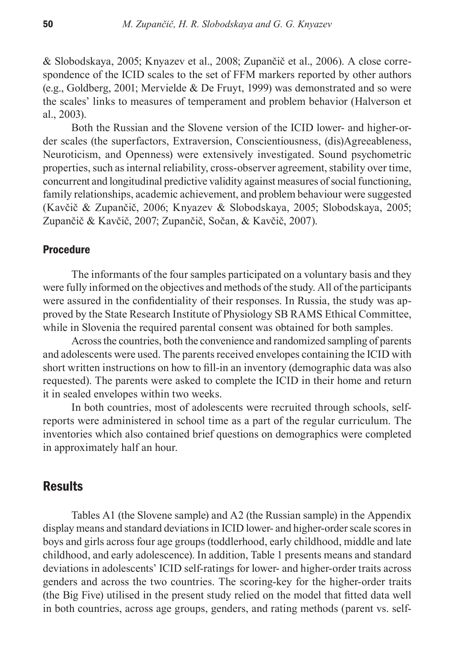& Slobodskaya, 2005; Knyazev et al., 2008; Zupančič et al., 2006). A close correspondence of the ICID scales to the set of FFM markers reported by other authors (e.g., Goldberg, 2001; Mervielde & De Fruyt, 1999) was demonstrated and so were the scales' links to measures of temperament and problem behavior (Halverson et al., 2003).

Both the Russian and the Slovene version of the ICID lower- and higher-order scales (the superfactors, Extraversion, Conscientiousness, (dis)Agreeableness, Neuroticism, and Openness) were extensively investigated. Sound psychometric properties, such as internal reliability, cross-observer agreement, stability over time, concurrent and longitudinal predictive validity against measures of social functioning, family relationships, academic achievement, and problem behaviour were suggested (Kavčič & Zupančič, 2006; Knyazev & Slobodskaya, 2005; Slobodskaya, 2005; Zupančič & Kavčič, 2007; Zupančič, Sočan, & Kavčič, 2007).

#### **Procedure**

The informants of the four samples participated on a voluntary basis and they were fully informed on the objectives and methods of the study. All of the participants were assured in the confidentiality of their responses. In Russia, the study was approved by the State Research Institute of Physiology SB RAMS Ethical Committee, while in Slovenia the required parental consent was obtained for both samples.

Across the countries, both the convenience and randomized sampling of parents and adolescents were used. The parents received envelopes containing the ICID with short written instructions on how to fill-in an inventory (demographic data was also requested). The parents were asked to complete the ICID in their home and return it in sealed envelopes within two weeks.

In both countries, most of adolescents were recruited through schools, selfreports were administered in school time as a part of the regular curriculum. The inventories which also contained brief questions on demographics were completed in approximately half an hour.

# **Results**

Tables A1 (the Slovene sample) and A2 (the Russian sample) in the Appendix display means and standard deviations in ICID lower- and higher-order scale scores in boys and girls across four age groups (toddlerhood, early childhood, middle and late childhood, and early adolescence). In addition, Table 1 presents means and standard deviations in adolescents' ICID self-ratings for lower- and higher-order traits across genders and across the two countries. The scoring-key for the higher-order traits (the Big Five) utilised in the present study relied on the model that fitted data well in both countries, across age groups, genders, and rating methods (parent vs. self-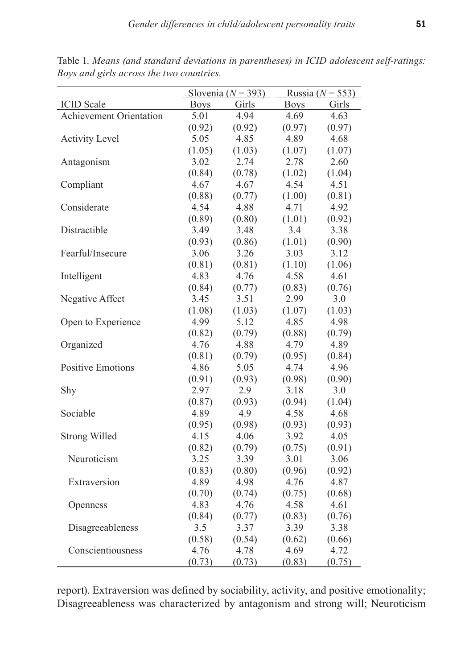|                                |             | Slovenia ( $N = 393$ ) | Russia ( $N = 553$ ) |        |  |  |
|--------------------------------|-------------|------------------------|----------------------|--------|--|--|
| <b>ICID</b> Scale              | <b>Boys</b> | Girls                  | <b>Boys</b>          | Girls  |  |  |
| <b>Achievement Orientation</b> | 5.01        | 4.94                   | 4.69                 | 4.63   |  |  |
|                                | (0.92)      | (0.92)                 | (0.97)               | (0.97) |  |  |
| <b>Activity Level</b>          | 5.05        | 4.85                   | 4.89                 | 4.68   |  |  |
|                                | (1.05)      | (1.03)                 | (1.07)               | (1.07) |  |  |
| Antagonism                     | 3.02        | 2.74                   | 2.78                 | 2.60   |  |  |
|                                | (0.84)      | (0.78)                 | (1.02)               | (1.04) |  |  |
| Compliant                      | 4.67        | 4.67                   | 4.54                 | 4.51   |  |  |
|                                | (0.88)      | (0.77)                 | (1.00)               | (0.81) |  |  |
| Considerate                    | 4.54        | 4.88                   | 4.71                 | 4.92   |  |  |
|                                | (0.89)      | (0.80)                 | (1.01)               | (0.92) |  |  |
| Distractible                   | 3.49        | 3.48                   | 3.4                  | 3.38   |  |  |
|                                | (0.93)      | (0.86)                 | (1.01)               | (0.90) |  |  |
| Fearful/Insecure               | 3.06        | 3.26                   | 3.03                 | 3.12   |  |  |
|                                | (0.81)      | (0.81)                 | (1.10)               | (1.06) |  |  |
| Intelligent                    | 4.83        | 4.76                   | 4.58                 | 4.61   |  |  |
|                                | (0.84)      | (0.77)                 | (0.83)               | (0.76) |  |  |
| Negative Affect                | 3.45        | 3.51                   | 2.99                 | 3.0    |  |  |
|                                | (1.08)      | (1.03)                 | (1.07)               | (1.03) |  |  |
| Open to Experience             | 4.99        | 5.12                   | 4.85                 | 4.98   |  |  |
|                                | (0.82)      | (0.79)                 | (0.88)               | (0.79) |  |  |
| Organized                      | 4.76        | 4.88                   | 4.79                 | 4.89   |  |  |
|                                | (0.81)      | (0.79)                 | (0.95)               | (0.84) |  |  |
| <b>Positive Emotions</b>       | 4.86        | 5.05                   | 4.74                 | 4.96   |  |  |
|                                | (0.91)      | (0.93)                 | (0.98)               | (0.90) |  |  |
| Shy                            | 2.97        | 2.9                    | 3.18                 | 3.0    |  |  |
|                                | (0.87)      | (0.93)                 | (0.94)               | (1.04) |  |  |
| Sociable                       | 4.89        | 4.9                    | 4.58                 | 4.68   |  |  |
|                                | (0.95)      | (0.98)                 | (0.93)               | (0.93) |  |  |
| <b>Strong Willed</b>           | 4.15        | 4.06                   | 3.92                 | 4.05   |  |  |
|                                | (0.82)      | (0.79)                 | (0.75)               | (0.91) |  |  |
| Neuroticism                    | 3.25        | 3.39                   | 3.01                 | 3.06   |  |  |
|                                | (0.83)      | (0.80)                 | (0.96)               | (0.92) |  |  |
| Extraversion                   | 4.89        | 4.98                   | 4.76                 | 4.87   |  |  |
|                                | (0.70)      | (0.74)                 | (0.75)               | (0.68) |  |  |
| Openness                       | 4.83        | 4.76                   | 4.58                 | 4.61   |  |  |
|                                | (0.84)      | (0.77)                 | (0.83)               | (0.76) |  |  |
| Disagreeableness               | 3.5         | 3.37                   | 3.39                 | 3.38   |  |  |
|                                | (0.58)      | (0.54)                 | (0.62)               | (0.66) |  |  |
| Conscientiousness              | 4.76        | 4.78                   | 4.69                 | 4.72   |  |  |
|                                | (0.73)      | (0.73)                 | (0.83)               | (0.75) |  |  |

Table 1. *Means (and standard deviations in parentheses) in ICID adolescent self-ratings: Boys and girls across the two countries.*

report). Extraversion was defined by sociability, activity, and positive emotionality; Disagreeableness was characterized by antagonism and strong will; Neuroticism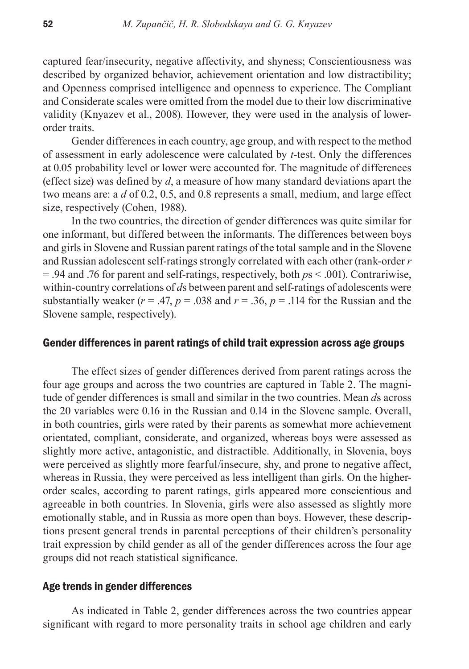captured fear/insecurity, negative affectivity, and shyness; Conscientiousness was described by organized behavior, achievement orientation and low distractibility; and Openness comprised intelligence and openness to experience. The Compliant and Considerate scales were omitted from the model due to their low discriminative validity (Knyazev et al., 2008). However, they were used in the analysis of lowerorder traits.

Gender differences in each country, age group, and with respect to the method of assessment in early adolescence were calculated by *t*-test. Only the differences at 0.05 probability level or lower were accounted for. The magnitude of differences (effect size) was defined by *d*, a measure of how many standard deviations apart the two means are: a *d* of 0.2, 0.5, and 0.8 represents a small, medium, and large effect size, respectively (Cohen, 1988).

In the two countries, the direction of gender differences was quite similar for one informant, but differed between the informants. The differences between boys and girls in Slovene and Russian parent ratings of the total sample and in the Slovene and Russian adolescent self-ratings strongly correlated with each other (rank-order *r* = .94 and .76 for parent and self-ratings, respectively, both *p*s < .001). Contrariwise, within-country correlations of *d*s between parent and self-ratings of adolescents were substantially weaker ( $r = .47$ ,  $p = .038$  and  $r = .36$ ,  $p = .114$  for the Russian and the Slovene sample, respectively).

## Gender differences in parent ratings of child trait expression across age groups

The effect sizes of gender differences derived from parent ratings across the four age groups and across the two countries are captured in Table 2. The magnitude of gender differences is small and similar in the two countries. Mean *d*s across the 20 variables were 0.16 in the Russian and 0.14 in the Slovene sample. Overall, in both countries, girls were rated by their parents as somewhat more achievement orientated, compliant, considerate, and organized, whereas boys were assessed as slightly more active, antagonistic, and distractible. Additionally, in Slovenia, boys were perceived as slightly more fearful/insecure, shy, and prone to negative affect, whereas in Russia, they were perceived as less intelligent than girls. On the higherorder scales, according to parent ratings, girls appeared more conscientious and agreeable in both countries. In Slovenia, girls were also assessed as slightly more emotionally stable, and in Russia as more open than boys. However, these descriptions present general trends in parental perceptions of their children's personality trait expression by child gender as all of the gender differences across the four age groups did not reach statistical significance.

#### Age trends in gender differences

As indicated in Table 2, gender differences across the two countries appear significant with regard to more personality traits in school age children and early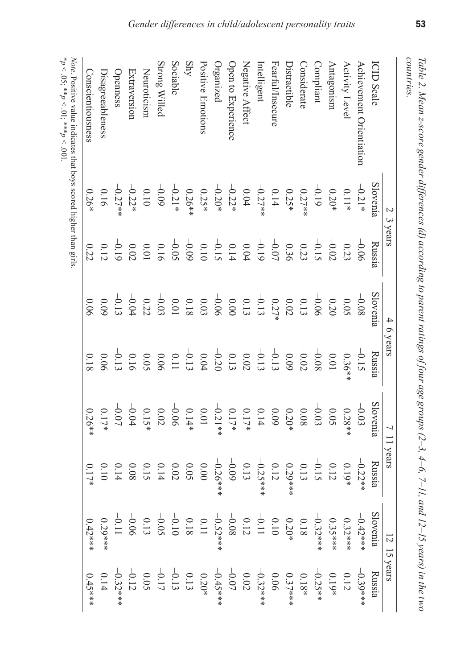| lote. Positive value indicates that boys scored higher than girls. |
|--------------------------------------------------------------------|
|                                                                    |
|                                                                    |

|                          | $2-3$ years |                                                                                                                                                                                                                                                                                                                                                | $4-6$ years |          | $7 - 11$ years                              |                                                                 | $12-15$ years                                                                                                                           |                                                                                                                    |
|--------------------------|-------------|------------------------------------------------------------------------------------------------------------------------------------------------------------------------------------------------------------------------------------------------------------------------------------------------------------------------------------------------|-------------|----------|---------------------------------------------|-----------------------------------------------------------------|-----------------------------------------------------------------------------------------------------------------------------------------|--------------------------------------------------------------------------------------------------------------------|
| <b>CID Scale</b>         | Slovenia    | Russia                                                                                                                                                                                                                                                                                                                                         | Slovenia    | Russia   | Slovenia                                    | Russia                                                          | Slovenia                                                                                                                                | Russia                                                                                                             |
| Achievement Orientiation | $-0.21*$    | $-0.06$                                                                                                                                                                                                                                                                                                                                        | $-0.08$     | $-0.15$  | $-0.03$                                     | $-0.22**$                                                       | $-0.42**$                                                                                                                               | $-0.39***$                                                                                                         |
| Activity Level           | $0.11*$     | 0.23                                                                                                                                                                                                                                                                                                                                           | 50.05       | $0.36**$ | $0.28**$                                    | $0.19*$                                                         | $0.32***$                                                                                                                               | 0.12                                                                                                               |
| Antagonism               | $0.20*$     | $-0.02$                                                                                                                                                                                                                                                                                                                                        | 0.20        | 10.01    | 0.05                                        | 0.12                                                            | $0.35***$                                                                                                                               | $0.19*$                                                                                                            |
| compliant                | $-0.19$     | $-0.15$                                                                                                                                                                                                                                                                                                                                        |             | $-0.08$  | $-0.03$                                     | $-0.15$                                                         |                                                                                                                                         | $-0.25**$                                                                                                          |
| Considerate              | $-0.27**$   |                                                                                                                                                                                                                                                                                                                                                | $-0.06$     |          | $-0.08$                                     | $-0.13$                                                         |                                                                                                                                         | $-0.18*$                                                                                                           |
| Distractible             | $0.25*$     | $-0.23$                                                                                                                                                                                                                                                                                                                                        | $0.02\,$    |          | $0.20*$                                     | $0.29***$                                                       |                                                                                                                                         | $0.37$ ***                                                                                                         |
| Fearful/Insecure         | 0.14        |                                                                                                                                                                                                                                                                                                                                                | 0.27        |          |                                             | $0.12\,$                                                        |                                                                                                                                         |                                                                                                                    |
| ntelligent               | $-0.27**$   |                                                                                                                                                                                                                                                                                                                                                |             |          | $\begin{array}{c} 0.09 \\ 0.14 \end{array}$ | $-0.25***$                                                      |                                                                                                                                         | $0.06$<br>-0.32***                                                                                                 |
| Negative Affect          | $0.04\,$    |                                                                                                                                                                                                                                                                                                                                                |             |          | $0.17*$                                     | $0.13\,$                                                        |                                                                                                                                         |                                                                                                                    |
| Open to Experience       | $-0.22*$    | $\begin{array}{c} 0.07 \\ 0.07 \\ 0.07 \\ -0.07 \\ -0.07 \\ -0.08 \\ -0.08 \\ -0.09 \\ -0.09 \\ -0.09 \\ -0.09 \\ -0.09 \\ -0.09 \\ -0.09 \\ -0.09 \\ -0.09 \\ -0.09 \\ -0.09 \\ -0.09 \\ -0.09 \\ -0.09 \\ -0.09 \\ -0.09 \\ -0.09 \\ -0.09 \\ -0.09 \\ -0.09 \\ -0.09 \\ -0.09 \\ -0.09 \\ -0.09 \\ -0.09 \\ -0.09 \\ -0.09 \\ -0.09 \\ -0.$ |             |          | $0.17*$                                     | $-0.09$                                                         | $-0.32***$<br>$0.326***$<br>$0.1800*$<br>$0.11200*$<br>$0.11200*$<br>$0.11800*$<br>$0.11400*$<br>$0.11400*$<br>$0.11400*$<br>$0.11400*$ | 0.02<br>$-0.07$<br>$-0.45$<br>$+0.13$<br>$-0.13$<br>$-0.05$<br>$-0.12$<br>$-0.12$<br>$-0.32$<br>$-0.32$<br>$-0.32$ |
| organized                | $-0.20*$    |                                                                                                                                                                                                                                                                                                                                                |             |          | $-0.21**$                                   | $-0.26***$                                                      |                                                                                                                                         |                                                                                                                    |
| Positive Emotions        | $-0.25*$    |                                                                                                                                                                                                                                                                                                                                                |             |          | $10.01\,$                                   |                                                                 |                                                                                                                                         |                                                                                                                    |
| Shy                      | $0.26**$    |                                                                                                                                                                                                                                                                                                                                                |             |          | $0.14*$                                     | $\begin{array}{c} 0.000 \\ 0.005 \\ 0.014 \\ 0.008 \end{array}$ |                                                                                                                                         |                                                                                                                    |
| Sociable                 | $-0.21*$    |                                                                                                                                                                                                                                                                                                                                                |             |          | $-0.06$                                     |                                                                 |                                                                                                                                         |                                                                                                                    |
| Strong Willed            | $-0.09$     |                                                                                                                                                                                                                                                                                                                                                |             |          | $0.02\,$                                    |                                                                 |                                                                                                                                         |                                                                                                                    |
| Neuroticism              | $0.10\,$    |                                                                                                                                                                                                                                                                                                                                                |             |          | $0.15*$                                     |                                                                 |                                                                                                                                         |                                                                                                                    |
| Extraversion             | $-0.22*$    |                                                                                                                                                                                                                                                                                                                                                | $-0.04$     |          | $-0.04$                                     |                                                                 |                                                                                                                                         |                                                                                                                    |
| Openness                 | $-0.27**$   | $-0.19$<br>0.12                                                                                                                                                                                                                                                                                                                                | $-0.13$     |          | $-0.07$                                     | 0.14                                                            |                                                                                                                                         |                                                                                                                    |
| <b>Disagreeableness</b>  | 0.16        |                                                                                                                                                                                                                                                                                                                                                |             |          | $0.17*$                                     | $0.10\,$                                                        | $0.29***$                                                                                                                               | 0.14                                                                                                               |
| Conscientiousness        | $-0.26*$    | $-0.22$                                                                                                                                                                                                                                                                                                                                        | $-0.06$     | $-0.18$  | $-0.26**$                                   | $-0.17*$                                                        | $-0.42***$                                                                                                                              | $-0.45***$                                                                                                         |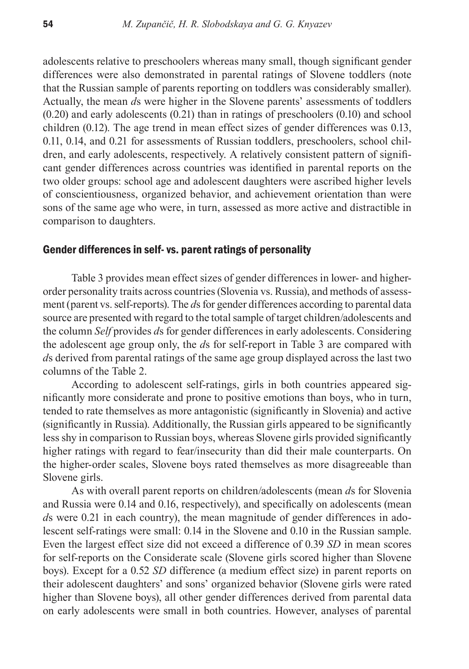adolescents relative to preschoolers whereas many small, though significant gender differences were also demonstrated in parental ratings of Slovene toddlers (note that the Russian sample of parents reporting on toddlers was considerably smaller). Actually, the mean *d*s were higher in the Slovene parents' assessments of toddlers (0.20) and early adolescents (0.21) than in ratings of preschoolers (0.10) and school children (0.12). The age trend in mean effect sizes of gender differences was 0.13, 0.11, 0.14, and 0.21 for assessments of Russian toddlers, preschoolers, school children, and early adolescents, respectively. A relatively consistent pattern of significant gender differences across countries was identified in parental reports on the two older groups: school age and adolescent daughters were ascribed higher levels of conscientiousness, organized behavior, and achievement orientation than were sons of the same age who were, in turn, assessed as more active and distractible in comparison to daughters.

### Gender differences in self- vs. parent ratings of personality

Table 3 provides mean effect sizes of gender differences in lower- and higherorder personality traits across countries (Slovenia vs. Russia), and methods of assessment (parent vs. self-reports). The *d*s for gender differences according to parental data source are presented with regard to the total sample of target children/adolescents and the column *Self* provides *d*s for gender differences in early adolescents. Considering the adolescent age group only, the *d*s for self-report in Table 3 are compared with *d*s derived from parental ratings of the same age group displayed across the last two columns of the Table 2.

According to adolescent self-ratings, girls in both countries appeared significantly more considerate and prone to positive emotions than boys, who in turn, tended to rate themselves as more antagonistic (significantly in Slovenia) and active (significantly in Russia). Additionally, the Russian girls appeared to be significantly less shy in comparison to Russian boys, whereas Slovene girls provided significantly higher ratings with regard to fear/insecurity than did their male counterparts. On the higher-order scales, Slovene boys rated themselves as more disagreeable than Slovene girls.

As with overall parent reports on children/adolescents (mean *d*s for Slovenia and Russia were 0.14 and 0.16, respectively), and specifically on adolescents (mean *d*s were 0.21 in each country), the mean magnitude of gender differences in adolescent self-ratings were small: 0.14 in the Slovene and 0.10 in the Russian sample. Even the largest effect size did not exceed a difference of 0.39 *SD* in mean scores for self-reports on the Considerate scale (Slovene girls scored higher than Slovene boys). Except for a 0.52 *SD* difference (a medium effect size) in parent reports on their adolescent daughters' and sons' organized behavior (Slovene girls were rated higher than Slovene boys), all other gender differences derived from parental data on early adolescents were small in both countries. However, analyses of parental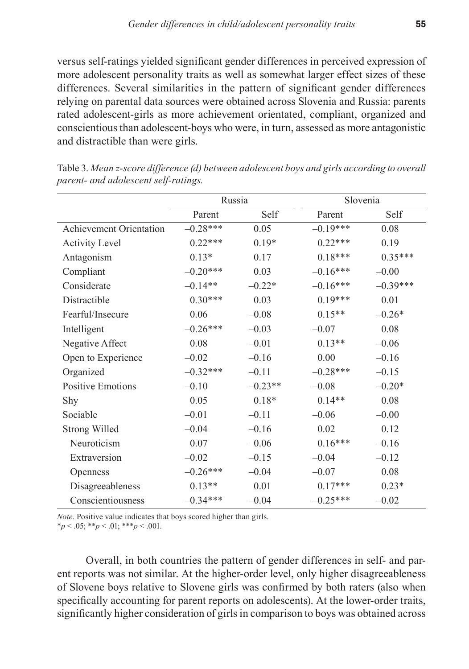versus self-ratings yielded significant gender differences in perceived expression of more adolescent personality traits as well as somewhat larger effect sizes of these differences. Several similarities in the pattern of significant gender differences relying on parental data sources were obtained across Slovenia and Russia: parents rated adolescent-girls as more achievement orientated, compliant, organized and conscientious than adolescent-boys who were, in turn, assessed as more antagonistic and distractible than were girls.

|                          | Russia     |           | Slovenia   |            |
|--------------------------|------------|-----------|------------|------------|
|                          | Parent     | Self      | Parent     | Self       |
| Achievement Orientation  | $-0.28***$ | 0.05      | $-0.19***$ | 0.08       |
| <b>Activity Level</b>    | $0.22***$  | $0.19*$   | $0.22***$  | 0.19       |
| Antagonism               | $0.13*$    | 0.17      | $0.18***$  | $0.35***$  |
| Compliant                | $-0.20***$ | 0.03      | $-0.16***$ | $-0.00$    |
| Considerate              | $-0.14**$  | $-0.22*$  | $-0.16***$ | $-0.39***$ |
| Distractible             | $0.30***$  | 0.03      | $0.19***$  | 0.01       |
| Fearful/Insecure         | 0.06       | $-0.08$   | $0.15**$   | $-0.26*$   |
| Intelligent              | $-0.26***$ | $-0.03$   | $-0.07$    | 0.08       |
| Negative Affect          | 0.08       | $-0.01$   | $0.13**$   | $-0.06$    |
| Open to Experience       | $-0.02$    | $-0.16$   | 0.00       | $-0.16$    |
| Organized                | $-0.32***$ | $-0.11$   | $-0.28***$ | $-0.15$    |
| <b>Positive Emotions</b> | $-0.10$    | $-0.23**$ | $-0.08$    | $-0.20*$   |
| Shy                      | 0.05       | $0.18*$   | $0.14**$   | 0.08       |
| Sociable                 | $-0.01$    | $-0.11$   | $-0.06$    | $-0.00$    |
| <b>Strong Willed</b>     | $-0.04$    | $-0.16$   | 0.02       | 0.12       |
| Neuroticism              | 0.07       | $-0.06$   | $0.16***$  | $-0.16$    |
| Extraversion             | $-0.02$    | $-0.15$   | $-0.04$    | $-0.12$    |
| Openness                 | $-0.26***$ | $-0.04$   | $-0.07$    | 0.08       |
| Disagreeableness         | $0.13**$   | 0.01      | $0.17***$  | $0.23*$    |
| Conscientiousness        | $-0.34***$ | $-0.04$   | $-0.25***$ | $-0.02$    |

Table 3. *Mean z-score difference (d) between adolescent boys and girls according to overall parent- and adolescent self-ratings.*

*Note.* Positive value indicates that boys scored higher than girls.  $*_{p}$  < .05;  $*_{p}$  < .01;  $*_{p}$  < .001.

Overall, in both countries the pattern of gender differences in self- and parent reports was not similar. At the higher-order level, only higher disagreeableness of Slovene boys relative to Slovene girls was confirmed by both raters (also when specifically accounting for parent reports on adolescents). At the lower-order traits, significantly higher consideration of girls in comparison to boys was obtained across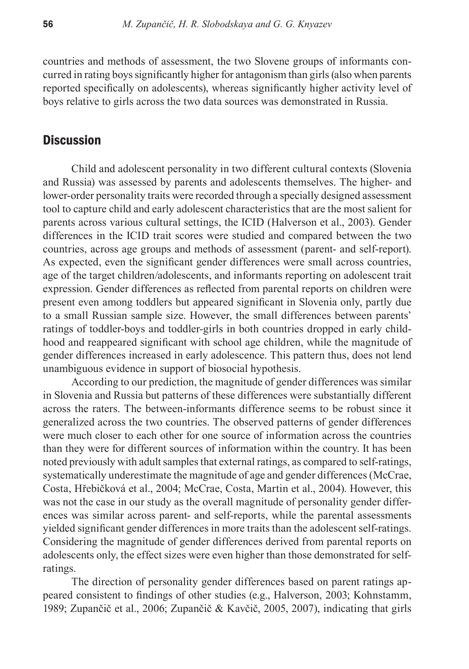countries and methods of assessment, the two Slovene groups of informants concurred in rating boys significantly higher for antagonism than girls (also when parents reported specifically on adolescents), whereas significantly higher activity level of boys relative to girls across the two data sources was demonstrated in Russia.

# **Discussion**

Child and adolescent personality in two different cultural contexts (Slovenia and Russia) was assessed by parents and adolescents themselves. The higher- and lower-order personality traits were recorded through a specially designed assessment tool to capture child and early adolescent characteristics that are the most salient for parents across various cultural settings, the ICID (Halverson et al., 2003). Gender differences in the ICID trait scores were studied and compared between the two countries, across age groups and methods of assessment (parent- and self-report). As expected, even the significant gender differences were small across countries, age of the target children/adolescents, and informants reporting on adolescent trait expression. Gender differences as reflected from parental reports on children were present even among toddlers but appeared significant in Slovenia only, partly due to a small Russian sample size. However, the small differences between parents' ratings of toddler-boys and toddler-girls in both countries dropped in early childhood and reappeared significant with school age children, while the magnitude of gender differences increased in early adolescence. This pattern thus, does not lend unambiguous evidence in support of biosocial hypothesis.

According to our prediction, the magnitude of gender differences was similar in Slovenia and Russia but patterns of these differences were substantially different across the raters. The between-informants difference seems to be robust since it generalized across the two countries. The observed patterns of gender differences were much closer to each other for one source of information across the countries than they were for different sources of information within the country. It has been noted previously with adult samples that external ratings, as compared to self-ratings, systematically underestimate the magnitude of age and gender differences (McCrae, Costa, Hřebičková et al., 2004; McCrae, Costa, Martin et al., 2004). However, this was not the case in our study as the overall magnitude of personality gender differences was similar across parent- and self-reports, while the parental assessments yielded significant gender differences in more traits than the adolescent self-ratings. Considering the magnitude of gender differences derived from parental reports on adolescents only, the effect sizes were even higher than those demonstrated for selfratings.

The direction of personality gender differences based on parent ratings appeared consistent to findings of other studies (e.g., Halverson, 2003; Kohnstamm, 1989; Zupančič et al., 2006; Zupančič & Kavčič, 2005, 2007), indicating that girls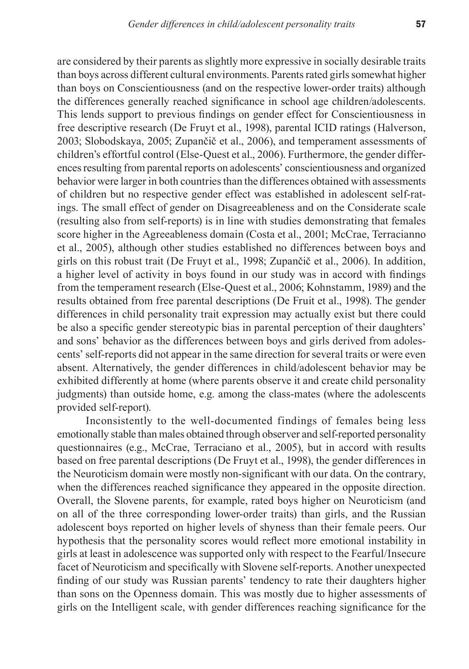are considered by their parents as slightly more expressive in socially desirable traits than boys across different cultural environments. Parents rated girls somewhat higher than boys on Conscientiousness (and on the respective lower-order traits) although the differences generally reached significance in school age children/adolescents. This lends support to previous findings on gender effect for Conscientiousness in free descriptive research (De Fruyt et al., 1998), parental ICID ratings (Halverson, 2003; Slobodskaya, 2005; Zupančič et al., 2006), and temperament assessments of children's effortful control (Else-Quest et al., 2006). Furthermore, the gender differences resulting from parental reports on adolescents' conscientiousness and organized behavior were larger in both countries than the differences obtained with assessments of children but no respective gender effect was established in adolescent self-ratings. The small effect of gender on Disagreeableness and on the Considerate scale (resulting also from self-reports) is in line with studies demonstrating that females score higher in the Agreeableness domain (Costa et al., 2001; McCrae, Terracianno et al., 2005), although other studies established no differences between boys and girls on this robust trait (De Fruyt et al., 1998; Zupančič et al., 2006). In addition, a higher level of activity in boys found in our study was in accord with findings from the temperament research (Else-Quest et al., 2006; Kohnstamm, 1989) and the results obtained from free parental descriptions (De Fruit et al., 1998). The gender differences in child personality trait expression may actually exist but there could be also a specific gender stereotypic bias in parental perception of their daughters' and sons' behavior as the differences between boys and girls derived from adolescents' self-reports did not appear in the same direction for several traits or were even absent. Alternatively, the gender differences in child/adolescent behavior may be exhibited differently at home (where parents observe it and create child personality judgments) than outside home, e.g. among the class-mates (where the adolescents provided self-report).

Inconsistently to the well-documented findings of females being less emotionally stable than males obtained through observer and self-reported personality questionnaires (e.g., McCrae, Terraciano et al., 2005), but in accord with results based on free parental descriptions (De Fruyt et al., 1998), the gender differences in the Neuroticism domain were mostly non-significant with our data. On the contrary, when the differences reached significance they appeared in the opposite direction. Overall, the Slovene parents, for example, rated boys higher on Neuroticism (and on all of the three corresponding lower-order traits) than girls, and the Russian adolescent boys reported on higher levels of shyness than their female peers. Our hypothesis that the personality scores would reflect more emotional instability in girls at least in adolescence was supported only with respect to the Fearful/Insecure facet of Neuroticism and specifically with Slovene self-reports. Another unexpected finding of our study was Russian parents' tendency to rate their daughters higher than sons on the Openness domain. This was mostly due to higher assessments of girls on the Intelligent scale, with gender differences reaching significance for the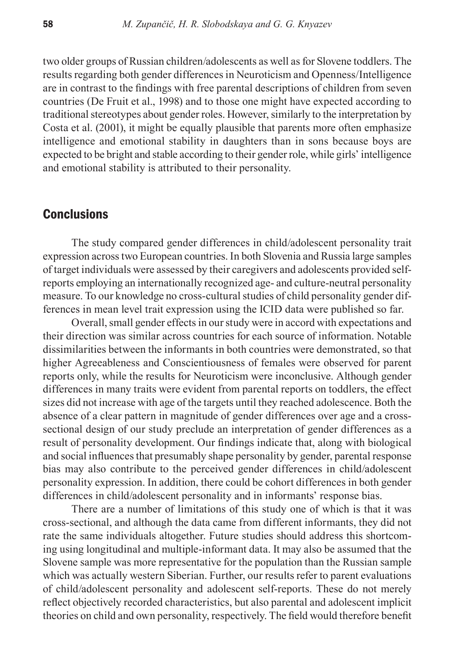two older groups of Russian children/adolescents as well as for Slovene toddlers. The results regarding both gender differences in Neuroticism and Openness/Intelligence are in contrast to the findings with free parental descriptions of children from seven countries (De Fruit et al., 1998) and to those one might have expected according to traditional stereotypes about gender roles. However, similarly to the interpretation by Costa et al. (2001), it might be equally plausible that parents more often emphasize intelligence and emotional stability in daughters than in sons because boys are expected to be bright and stable according to their gender role, while girls' intelligence and emotional stability is attributed to their personality.

# **Conclusions**

The study compared gender differences in child/adolescent personality trait expression across two European countries. In both Slovenia and Russia large samples of target individuals were assessed by their caregivers and adolescents provided selfreports employing an internationally recognized age- and culture-neutral personality measure. To our knowledge no cross-cultural studies of child personality gender differences in mean level trait expression using the ICID data were published so far.

Overall, small gender effects in our study were in accord with expectations and their direction was similar across countries for each source of information. Notable dissimilarities between the informants in both countries were demonstrated, so that higher Agreeableness and Conscientiousness of females were observed for parent reports only, while the results for Neuroticism were inconclusive. Although gender differences in many traits were evident from parental reports on toddlers, the effect sizes did not increase with age of the targets until they reached adolescence. Both the absence of a clear pattern in magnitude of gender differences over age and a crosssectional design of our study preclude an interpretation of gender differences as a result of personality development. Our findings indicate that, along with biological and social influences that presumably shape personality by gender, parental response bias may also contribute to the perceived gender differences in child/adolescent personality expression. In addition, there could be cohort differences in both gender differences in child/adolescent personality and in informants' response bias.

There are a number of limitations of this study one of which is that it was cross-sectional, and although the data came from different informants, they did not rate the same individuals altogether. Future studies should address this shortcoming using longitudinal and multiple-informant data. It may also be assumed that the Slovene sample was more representative for the population than the Russian sample which was actually western Siberian. Further, our results refer to parent evaluations of child/adolescent personality and adolescent self-reports. These do not merely reflect objectively recorded characteristics, but also parental and adolescent implicit theories on child and own personality, respectively. The field would therefore benefit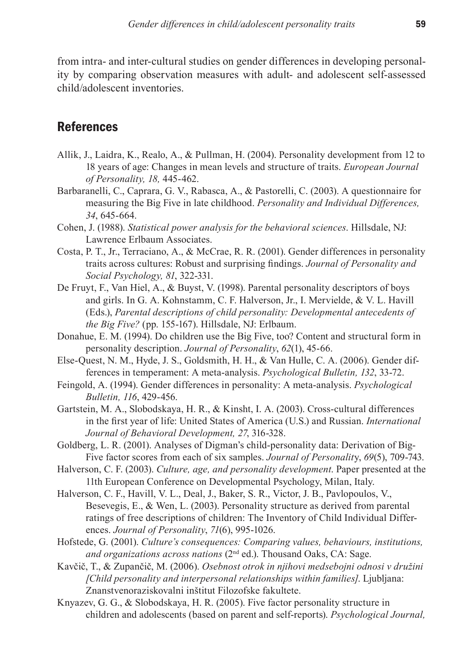from intra- and inter-cultural studies on gender differences in developing personality by comparing observation measures with adult- and adolescent self-assessed child/adolescent inventories.

# **References**

- Allik, J., Laidra, K., Realo, A., & Pullman, H. (2004). Personality development from 12 to 18 years of age: Changes in mean levels and structure of traits. *European Journal of Personality, 18,* 445-462.
- Barbaranelli, C., Caprara, G. V., Rabasca, A., & Pastorelli, C. (2003). A questionnaire for measuring the Big Five in late childhood. *Personality and Individual Differences, 34*, 645-664.
- Cohen, J. (1988). *Statistical power analysis for the behavioral sciences*. Hillsdale, NJ: Lawrence Erlbaum Associates.
- Costa, P. T., Jr., Terraciano, A., & McCrae, R. R. (2001). Gender differences in personality traits across cultures: Robust and surprising findings. *Journal of Personality and Social Psychology, 81*, 322-331.
- De Fruyt, F., Van Hiel, A., & Buyst, V. (1998). Parental personality descriptors of boys and girls. In G. A. Kohnstamm, C. F. Halverson, Jr., I. Mervielde, & V. L. Havill (Eds.), *Parental descriptions of child personality: Developmental antecedents of the Big Five?* (pp. 155-167). Hillsdale, NJ: Erlbaum.
- Donahue, E. M. (1994). Do children use the Big Five, too? Content and structural form in personality description. *Journal of Personality*, *62*(1), 45-66.
- Else-Quest, N. M., Hyde, J. S., Goldsmith, H. H., & Van Hulle, C. A. (2006). Gender differences in temperament: A meta-analysis. *Psychological Bulletin, 132*, 33-72.
- Feingold, A. (1994). Gender differences in personality: A meta-analysis. *Psychological Bulletin, 116*, 429-456.
- Gartstein, M. A., Slobodskaya, H. R., & Kinsht, I. A. (2003). Cross-cultural differences in the first year of life: United States of America (U.S.) and Russian. *International Journal of Behavioral Development, 27*, 316-328.
- Goldberg, L. R. (2001). Analyses of Digman's child-personality data: Derivation of Big-Five factor scores from each of six samples. *Journal of Personalit*y, *69*(5), 709-743.
- Halverson, C. F. (2003). *Culture, age, and personality development*. Paper presented at the 11th European Conference on Developmental Psychology, Milan, Italy.
- Halverson, C. F., Havill, V. L., Deal, J., Baker, S. R., Victor, J. B., Pavlopoulos, V., Besevegis, E., & Wen, L. (2003). Personality structure as derived from parental ratings of free descriptions of children: The Inventory of Child Individual Differences. *Journal of Personality*, *71*(6), 995-1026.
- Hofstede, G. (2001). *Culture's consequences: Comparing values, behaviours, institutions, and organizations across nations* (2nd ed.). Thousand Oaks, CA: Sage.
- Kavčič, T., & Zupančič, M. (2006). *Osebnost otrok in njihovi medsebojni odnosi v družini [Child personality and interpersonal relationships within families]*. Ljubljana: Znanstvenoraziskovalni inštitut Filozofske fakultete.
- Knyazev, G. G., & Slobodskaya, H. R. (2005). Five factor personality structure in children and adolescents (based on parent and self-reports). *Psychological Journal,*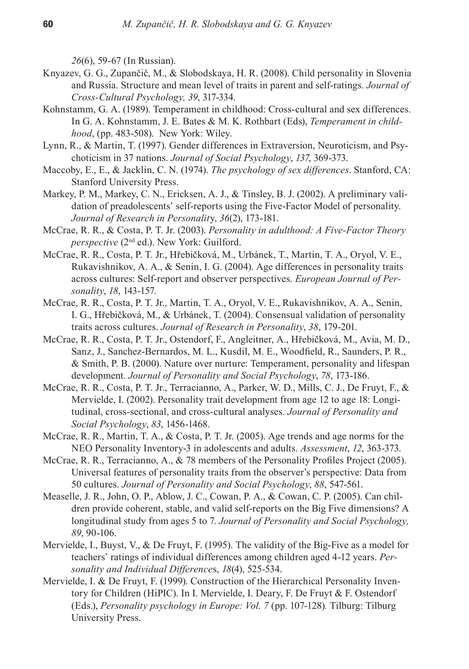*26*(6), 59-67 (In Russian).

- Knyazev, G. G., Zupančič, M., & Slobodskaya, H. R. (2008). Child personality in Slovenia and Russia. Structure and mean level of traits in parent and self-ratings. *Journal of Cross-Cultural Psychology, 39*, 317-334.
- Kohnstamm, G. A. (1989). Temperament in childhood: Cross-cultural and sex differences. In G. A. Kohnstamm, J. E. Bates & M. K. Rothbart (Eds), *Temperament in childhood*, (pp. 483-508). New York: Wiley.
- Lynn, R., & Martin, T. (1997). Gender differences in Extraversion, Neuroticism, and Psychoticism in 37 nations. *Journal of Social Psychology*, *137*, 369-373.
- Maccoby, E., E., & Jacklin, C. N. (1974). *The psychology of sex differences*. Stanford, CA: Stanford University Press.
- Markey, P. M., Markey, C. N., Ericksen, A. J., & Tinsley, B. J. (2002). A preliminary validation of preadolescents' self-reports using the Five-Factor Model of personality. *Journal of Research in Personalit*y, *36*(2), 173-181.
- McCrae, R. R., & Costa, P. T. Jr. (2003). *Personality in adulthood: A Five-Factor Theory perspective* (2nd ed.). New York: Guilford.
- McCrae, R. R., Costa, P. T. Jr., Hřebičková, M., Urbánek, T., Martin, T. A., Oryol, V. E., Rukavishnikov, A. A., & Senin, I. G. (2004). Age differences in personality traits across cultures: Self-report and observer perspectives. *European Journal of Personality*, *18*, 143-157.
- McCrae, R. R., Costa, P. T. Jr., Martin, T. A., Oryol, V. E., Rukavishnikov, A. A., Senin, I. G., Hřebičková, M., & Urbánek, T. (2004). Consensual validation of personality traits across cultures. *Journal of Research in Personality*, *38*, 179-201.
- McCrae, R. R., Costa, P. T. Jr., Ostendorf, F., Angleitner, A., Hřebičková, M., Avia, M. D., Sanz, J., Sanchez-Bernardos, M. L., Kusdil, M. E., Woodfield, R., Saunders, P. R., & Smith, P. B. (2000). Nature over nurture: Temperament, personality and lifespan development. *Journal of Personality and Social Psychology*, *78*, 173-186.
- McCrae, R. R., Costa, P. T. Jr., Terracianno, A., Parker, W. D., Mills, C. J., De Fruyt, F., & Mervielde, I. (2002). Personality trait development from age 12 to age 18: Longitudinal, cross-sectional, and cross-cultural analyses. *Journal of Personality and Social Psychology*, *83*, 1456-1468.
- McCrae, R. R., Martin, T. A., & Costa, P. T. Jr. (2005). Age trends and age norms for the NEO Personality Inventory-3 in adolescents and adults. *Assessment*, *12*, 363-373.
- McCrae, R. R., Terracianno, A., & 78 members of the Personality Profiles Project (2005). Universal features of personality traits from the observer's perspective: Data from 50 cultures. *Journal of Personality and Social Psychology*, *88*, 547-561.
- Measelle, J. R., John, O. P., Ablow, J. C., Cowan, P. A., & Cowan, C. P. (2005). Can children provide coherent, stable, and valid self-reports on the Big Five dimensions? A longitudinal study from ages 5 to 7. *Journal of Personality and Social Psychology, 89*, 90-106.
- Mervielde, I., Buyst, V., & De Fruyt, F. (1995). The validity of the Big-Five as a model for teachers' ratings of individual differences among children aged 4-12 years. *Personality and Individual Difference*s, *18*(4), 525-534.
- Mervielde, I. & De Fruyt, F. (1999). Construction of the Hierarchical Personality Inventory for Children (HiPIC). In I. Mervielde, I. Deary, F. De Fruyt & F. Ostendorf (Eds.), *Personality psychology in Europe: Vol. 7* (pp. 107-128)*.* Tilburg: Tilburg University Press.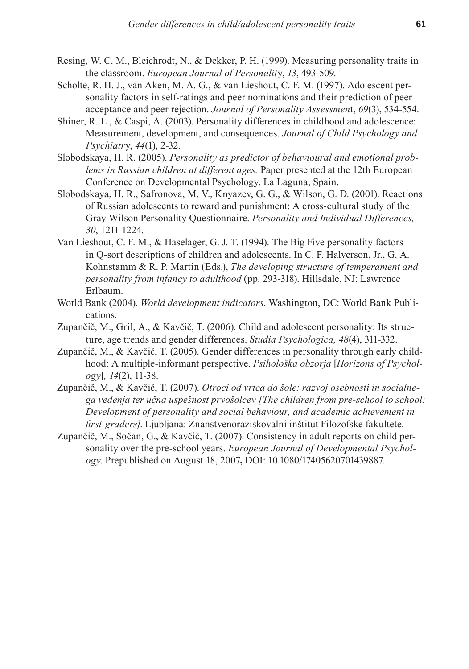- Resing, W. C. M., Bleichrodt, N., & Dekker, P. H. (1999). Measuring personality traits in the classroom. *European Journal of Personalit*y, *13*, 493-509.
- Scholte, R. H. J., van Aken, M. A. G., & van Lieshout, C. F. M. (1997). Adolescent personality factors in self-ratings and peer nominations and their prediction of peer acceptance and peer rejection. *Journal of Personality Assessmen*t, *69*(3), 534-554.
- Shiner, R. L., & Caspi, A. (2003). Personality differences in childhood and adolescence: Measurement, development, and consequences. *Journal of Child Psychology and Psychiatr*y, *44*(1), 2-32.
- Slobodskaya, H. R. (2005). *Personality as predictor of behavioural and emotional problems in Russian children at different ages.* Paper presented at the 12th European Conference on Developmental Psychology, La Laguna, Spain.
- Slobodskaya, H. R., Safronova, M. V., Knyazev, G. G., & Wilson, G. D. (2001). Reactions of Russian adolescents to reward and punishment: A cross-cultural study of the Gray-Wilson Personality Questionnaire. *Personality and Individual Differences, 30*, 1211-1224.
- Van Lieshout, C. F. M., & Haselager, G. J. T. (1994). The Big Five personality factors in Q-sort descriptions of children and adolescents. In C. F. Halverson, Jr., G. A. Kohnstamm & R. P. Martin (Eds.), *The developing structure of temperament and personality from infancy to adulthood* (pp. 293-318). Hillsdale, NJ: Lawrence Erlbaum.
- World Bank (2004). *World development indicators*. Washington, DC: World Bank Publications.
- Zupančič, M., Gril, A., & Kavčič, T. (2006). Child and adolescent personality: Its structure, age trends and gender differences. *Studia Psychologica, 48*(4), 311-332.
- Zupančič, M., & Kavčič, T. (2005). Gender differences in personality through early childhood: A multiple-informant perspective. *Psihološka obzorja* [*Horizons of Psychology*]*, 14*(2), 11-38.
- Zupančič, M., & Kavčič, T. (2007). *Otroci od vrtca do šole: razvoj osebnosti in socialnega vedenja ter učna uspešnost prvošolcev [The children from pre-school to school: Development of personality and social behaviour, and academic achievement in first-graders]*. Ljubljana: Znanstvenoraziskovalni inštitut Filozofske fakultete.
- Zupančič, M., Sočan, G., & Kavčič, T. (2007). Consistency in adult reports on child personality over the pre-school years. *European Journal of Developmental Psychology*. Prepublished on August 18, 2007**,** DOI: 10.1080/17405620701439887.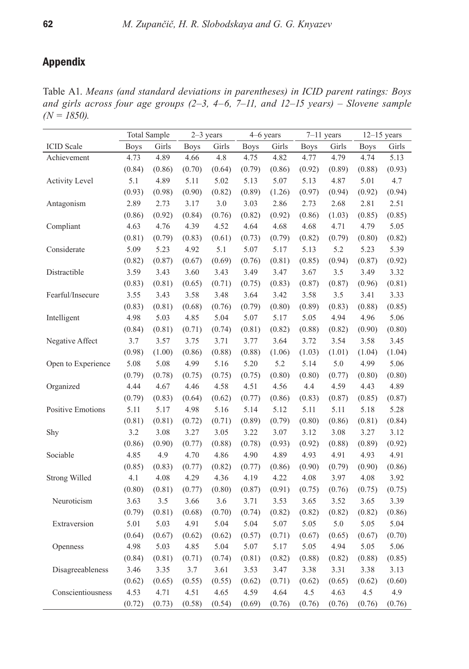# Appendix

Table A1. *Means (and standard deviations in parentheses) in ICID parent ratings: Boys and girls across four age groups (2–3, 4–6, 7–11, and 12–15 years) – Slovene sample (N = 1850).*

|                          |             | <b>Total Sample</b> |             | 2-3 years |             | 4-6 years |             | $7-11$ years |             | $12-15$ years |
|--------------------------|-------------|---------------------|-------------|-----------|-------------|-----------|-------------|--------------|-------------|---------------|
| <b>ICID</b> Scale        | <b>Boys</b> | Girls               | <b>Boys</b> | Girls     | <b>Boys</b> | Girls     | <b>Boys</b> | Girls        | <b>Boys</b> | Girls         |
| Achievement              | 4.73        | 4.89                | 4.66        | 4.8       | 4.75        | 4.82      | 4.77        | 4.79         | 4.74        | 5.13          |
|                          | (0.84)      | (0.86)              | (0.70)      | (0.64)    | (0.79)      | (0.86)    | (0.92)      | (0.89)       | (0.88)      | (0.93)        |
| <b>Activity Level</b>    | 5.1         | 4.89                | 5.11        | 5.02      | 5.13        | 5.07      | 5.13        | 4.87         | 5.01        | 4.7           |
|                          | (0.93)      | (0.98)              | (0.90)      | (0.82)    | (0.89)      | (1.26)    | (0.97)      | (0.94)       | (0.92)      | (0.94)        |
| Antagonism               | 2.89        | 2.73                | 3.17        | 3.0       | 3.03        | 2.86      | 2.73        | 2.68         | 2.81        | 2.51          |
|                          | (0.86)      | (0.92)              | (0.84)      | (0.76)    | (0.82)      | (0.92)    | (0.86)      | (1.03)       | (0.85)      | (0.85)        |
| Compliant                | 4.63        | 4.76                | 4.39        | 4.52      | 4.64        | 4.68      | 4.68        | 4.71         | 4.79        | 5.05          |
|                          | (0.81)      | (0.79)              | (0.83)      | (0.61)    | (0.73)      | (0.79)    | (0.82)      | (0.79)       | (0.80)      | (0.82)        |
| Considerate              | 5.09        | 5.23                | 4.92        | 5.1       | 5.07        | 5.17      | 5.13        | 5.2          | 5.23        | 5.39          |
|                          | (0.82)      | (0.87)              | (0.67)      | (0.69)    | (0.76)      | (0.81)    | (0.85)      | (0.94)       | (0.87)      | (0.92)        |
| Distractible             | 3.59        | 3.43                | 3.60        | 3.43      | 3.49        | 3.47      | 3.67        | 3.5          | 3.49        | 3.32          |
|                          | (0.83)      | (0.81)              | (0.65)      | (0.71)    | (0.75)      | (0.83)    | (0.87)      | (0.87)       | (0.96)      | (0.81)        |
| Fearful/Insecure         | 3.55        | 3.43                | 3.58        | 3.48      | 3.64        | 3.42      | 3.58        | 3.5          | 3.41        | 3.33          |
|                          | (0.83)      | (0.81)              | (0.68)      | (0.76)    | (0.79)      | (0.80)    | (0.89)      | (0.83)       | (0.88)      | (0.85)        |
| Intelligent              | 4.98        | 5.03                | 4.85        | 5.04      | 5.07        | 5.17      | 5.05        | 4.94         | 4.96        | 5.06          |
|                          | (0.84)      | (0.81)              | (0.71)      | (0.74)    | (0.81)      | (0.82)    | (0.88)      | (0.82)       | (0.90)      | (0.80)        |
| Negative Affect          | 3.7         | 3.57                | 3.75        | 3.71      | 3.77        | 3.64      | 3.72        | 3.54         | 3.58        | 3.45          |
|                          | (0.98)      | (1.00)              | (0.86)      | (0.88)    | (0.88)      | (1.06)    | (1.03)      | (1.01)       | (1.04)      | (1.04)        |
| Open to Experience       | 5.08        | 5.08                | 4.99        | 5.16      | 5.20        | 5.2       | 5.14        | 5.0          | 4.99        | 5.06          |
|                          | (0.79)      | (0.78)              | (0.75)      | (0.75)    | (0.75)      | (0.80)    | (0.80)      | (0.77)       | (0.80)      | (0.80)        |
| Organized                | 4.44        | 4.67                | 4.46        | 4.58      | 4.51        | 4.56      | 4.4         | 4.59         | 4.43        | 4.89          |
|                          | (0.79)      | (0.83)              | (0.64)      | (0.62)    | (0.77)      | (0.86)    | (0.83)      | (0.87)       | (0.85)      | (0.87)        |
| <b>Positive Emotions</b> | 5.11        | 5.17                | 4.98        | 5.16      | 5.14        | 5.12      | 5.11        | 5.11         | 5.18        | 5.28          |
|                          | (0.81)      | (0.81)              | (0.72)      | (0.71)    | (0.89)      | (0.79)    | (0.80)      | (0.86)       | (0.81)      | (0.84)        |
| Shy                      | 3.2         | 3.08                | 3.27        | 3.05      | 3.22        | 3.07      | 3.12        | 3.08         | 3.27        | 3.12          |
|                          | (0.86)      | (0.90)              | (0.77)      | (0.88)    | (0.78)      | (0.93)    | (0.92)      | (0.88)       | (0.89)      | (0.92)        |
| Sociable                 | 4.85        | 4.9                 | 4.70        | 4.86      | 4.90        | 4.89      | 4.93        | 4.91         | 4.93        | 4.91          |
|                          | (0.85)      | (0.83)              | (0.77)      | (0.82)    | (0.77)      | (0.86)    | (0.90)      | (0.79)       | (0.90)      | (0.86)        |
| Strong Willed            | 4.1         | 4.08                | 4.29        | 4.36      | 4.19        | 4.22      | 4.08        | 3.97         | 4.08        | 3.92          |
|                          | (0.80)      | (0.81)              | (0.77)      | (0.80)    | (0.87)      | (0.91)    | (0.75)      | (0.76)       | (0.75)      | (0.75)        |
| Neuroticism              | 3.63        | 3.5                 | 3.66        | $3.6\,$   | 3.71        | 3.53      | 3.65        | 3.52         | 3.65        | 3.39          |
|                          | (0.79)      | (0.81)              | (0.68)      | (0.70)    | (0.74)      | (0.82)    | (0.82)      | (0.82)       | (0.82)      | (0.86)        |
| Extraversion             | 5.01        | 5.03                | 4.91        | 5.04      | 5.04        | 5.07      | 5.05        | 5.0          | 5.05        | 5.04          |
|                          | (0.64)      | (0.67)              | (0.62)      | (0.62)    | (0.57)      | (0.71)    | (0.67)      | (0.65)       | (0.67)      | (0.70)        |
| Openness                 | 4.98        | 5.03                | 4.85        | 5.04      | 5.07        | 5.17      | 5.05        | 4.94         | 5.05        | 5.06          |
|                          | (0.84)      | (0.81)              | (0.71)      | (0.74)    | (0.81)      | (0.82)    | (0.88)      | (0.82)       | (0.88)      | (0.85)        |
| Disagreeableness         | 3.46        | 3.35                | 3.7         | 3.61      | 3.53        | 3.47      | 3.38        | 3.31         | 3.38        | 3.13          |
|                          | (0.62)      | (0.65)              | (0.55)      | (0.55)    | (0.62)      | (0.71)    | (0.62)      | (0.65)       | (0.62)      | (0.60)        |
| Conscientiousness        | 4.53        | 4.71                | 4.51        | 4.65      | 4.59        | 4.64      | 4.5         | 4.63         | 4.5         | 4.9           |
|                          | (0.72)      | (0.73)              | (0.58)      | (0.54)    | (0.69)      | (0.76)    | (0.76)      | (0.76)       | (0.76)      | (0.76)        |